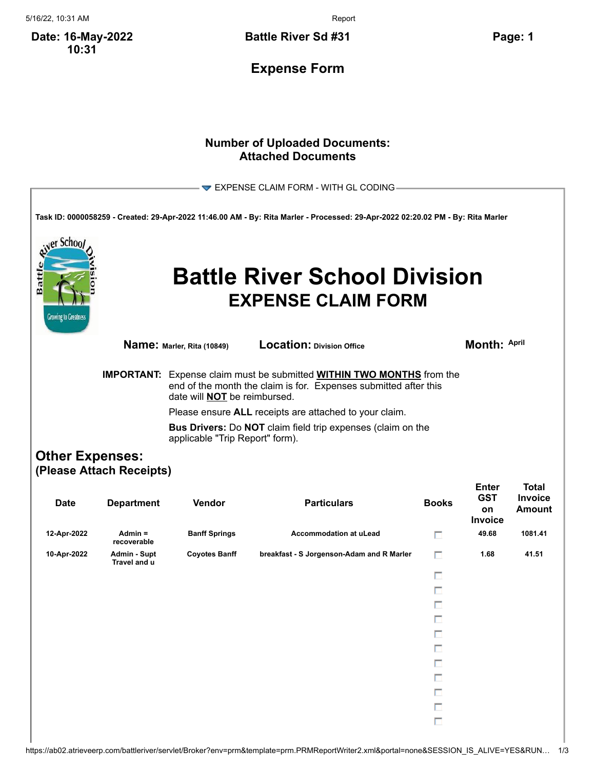5/16/22, 10:31 AM Report

**Date: 16-May-2022 10:31**

**Battle River Sd #31 Page: 1**

**Expense Form**

## **Number of Uploaded Documents: Attached Documents**

| EXPENSE CLAIM FORM - WITH GL CODING-                                                                                            |                                                                                                                                                                                                |                            |                                                        |              |                                    |                                 |  |  |  |
|---------------------------------------------------------------------------------------------------------------------------------|------------------------------------------------------------------------------------------------------------------------------------------------------------------------------------------------|----------------------------|--------------------------------------------------------|--------------|------------------------------------|---------------------------------|--|--|--|
|                                                                                                                                 |                                                                                                                                                                                                |                            |                                                        |              |                                    |                                 |  |  |  |
| Task ID: 0000058259 - Created: 29-Apr-2022 11:46.00 AM - By: Rita Marler - Processed: 29-Apr-2022 02:20.02 PM - By: Rita Marler |                                                                                                                                                                                                |                            |                                                        |              |                                    |                                 |  |  |  |
| er Schoo <i>l</i><br>Battl<br><b>Battle River School Division</b><br><b>EXPENSE CLAIM FORM</b><br><b>Growing to Greatness</b>   |                                                                                                                                                                                                |                            |                                                        |              |                                    |                                 |  |  |  |
|                                                                                                                                 |                                                                                                                                                                                                | Name: Marler, Rita (10849) | <b>Location: Division Office</b>                       |              | Month: April                       |                                 |  |  |  |
|                                                                                                                                 | <b>IMPORTANT:</b> Expense claim must be submitted <b>WITHIN TWO MONTHS</b> from the<br>end of the month the claim is for. Expenses submitted after this<br>date will <b>NOT</b> be reimbursed. |                            |                                                        |              |                                    |                                 |  |  |  |
|                                                                                                                                 |                                                                                                                                                                                                |                            | Please ensure ALL receipts are attached to your claim. |              |                                    |                                 |  |  |  |
|                                                                                                                                 | Bus Drivers: Do NOT claim field trip expenses (claim on the<br>applicable "Trip Report" form).                                                                                                 |                            |                                                        |              |                                    |                                 |  |  |  |
| <b>Other Expenses:</b>                                                                                                          |                                                                                                                                                                                                |                            |                                                        |              |                                    |                                 |  |  |  |
|                                                                                                                                 | (Please Attach Receipts)                                                                                                                                                                       |                            |                                                        |              |                                    |                                 |  |  |  |
|                                                                                                                                 |                                                                                                                                                                                                |                            |                                                        |              | <b>Enter</b>                       | <b>Total</b>                    |  |  |  |
| <b>Date</b>                                                                                                                     | <b>Department</b>                                                                                                                                                                              | <b>Vendor</b>              | <b>Particulars</b>                                     | <b>Books</b> | <b>GST</b><br>on<br><b>Invoice</b> | <b>Invoice</b><br><b>Amount</b> |  |  |  |
| 12-Apr-2022                                                                                                                     | Admin $=$<br>recoverable                                                                                                                                                                       | <b>Banff Springs</b>       | <b>Accommodation at uLead</b>                          | п            | 49.68                              | 1081.41                         |  |  |  |
| 10-Apr-2022                                                                                                                     | Admin - Supt<br>Travel and u                                                                                                                                                                   | <b>Coyotes Banff</b>       | breakfast - S Jorgenson-Adam and R Marler              | п            | 1.68                               | 41.51                           |  |  |  |
|                                                                                                                                 |                                                                                                                                                                                                |                            |                                                        | п            |                                    |                                 |  |  |  |
|                                                                                                                                 |                                                                                                                                                                                                |                            |                                                        | □            |                                    |                                 |  |  |  |
|                                                                                                                                 |                                                                                                                                                                                                |                            |                                                        |              |                                    |                                 |  |  |  |
|                                                                                                                                 |                                                                                                                                                                                                |                            |                                                        |              |                                    |                                 |  |  |  |
|                                                                                                                                 |                                                                                                                                                                                                |                            |                                                        | п            |                                    |                                 |  |  |  |
|                                                                                                                                 |                                                                                                                                                                                                |                            |                                                        | П            |                                    |                                 |  |  |  |
|                                                                                                                                 |                                                                                                                                                                                                |                            |                                                        | П            |                                    |                                 |  |  |  |
|                                                                                                                                 |                                                                                                                                                                                                |                            |                                                        | П            |                                    |                                 |  |  |  |
|                                                                                                                                 |                                                                                                                                                                                                |                            |                                                        | П            |                                    |                                 |  |  |  |
|                                                                                                                                 |                                                                                                                                                                                                |                            |                                                        | П            |                                    |                                 |  |  |  |
|                                                                                                                                 |                                                                                                                                                                                                |                            |                                                        | П            |                                    |                                 |  |  |  |
|                                                                                                                                 |                                                                                                                                                                                                |                            |                                                        |              |                                    |                                 |  |  |  |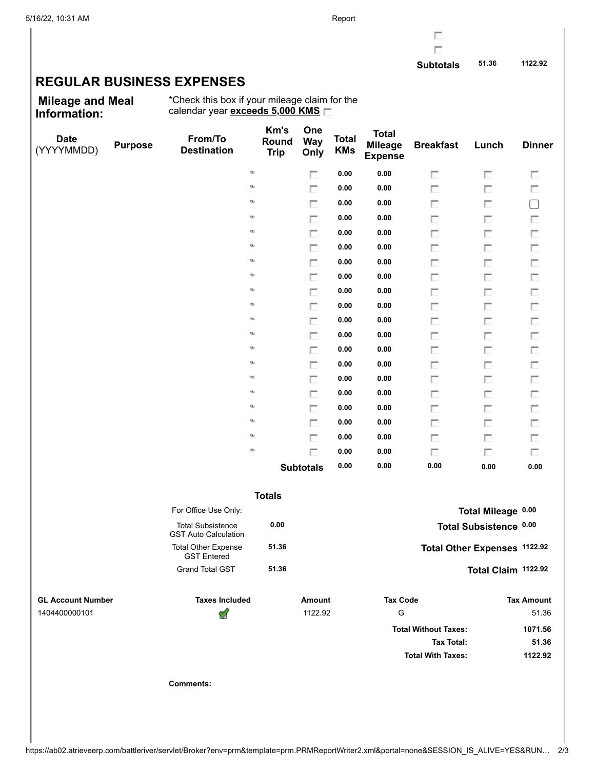$\Box$ П

**Subtotals 51.36 1122.92**

## **REGULAR BUSINESS EXPENSES**

**Mileage and Meal Information:** \*Check this box if your mileage claim for the calendar year **exceeds 5,000 KMS**

| <b>Date</b><br><b>Purpose</b><br>(YYYYMMDD) | From/To<br><b>Destination</b>                           | Km's<br>Round<br><b>Trip</b> | One<br><b>Way</b><br>Only | <b>Total</b><br><b>KMs</b> | <b>Total</b><br><b>Mileage</b><br><b>Expense</b> | <b>Breakfast</b>            | Lunch                        | <b>Dinner</b>     |
|---------------------------------------------|---------------------------------------------------------|------------------------------|---------------------------|----------------------------|--------------------------------------------------|-----------------------------|------------------------------|-------------------|
|                                             |                                                         | ø                            | П                         | 0.00                       | 0.00                                             | П                           | П                            | П                 |
|                                             |                                                         | ø                            | П                         | 0.00                       | 0.00                                             | П                           | П                            | П                 |
|                                             |                                                         | ø                            | П                         | 0.00                       | 0.00                                             | П                           | П                            | $\Box$            |
|                                             |                                                         | ø                            | П                         | 0.00                       | 0.00                                             | П                           | П                            | Π                 |
|                                             |                                                         | ø                            | П                         | 0.00                       | 0.00                                             | П                           | П                            | Π                 |
|                                             |                                                         | ø                            | П                         | 0.00                       | 0.00                                             | П                           | П                            | П                 |
|                                             |                                                         | ø                            | П                         | 0.00                       | 0.00                                             | П                           | П                            | Π                 |
|                                             |                                                         | ø                            | П                         | 0.00                       | 0.00                                             | П                           | П                            | П                 |
|                                             |                                                         | ø                            | П                         | 0.00                       | 0.00                                             | П                           | П                            | П                 |
|                                             |                                                         | ø                            | П                         | 0.00                       | 0.00                                             | П                           | П                            | П                 |
|                                             |                                                         | ø                            | П                         | 0.00                       | 0.00                                             | П                           | П                            | П                 |
|                                             |                                                         | ø                            | П                         | 0.00                       | 0.00                                             | П                           | П                            | П                 |
|                                             |                                                         | ø                            | П                         | 0.00                       | 0.00                                             | П                           | П                            | П                 |
|                                             |                                                         | ø                            | П                         | 0.00                       | 0.00                                             | П                           | П                            | П                 |
|                                             |                                                         | ø                            | п                         | 0.00                       | 0.00                                             | П                           | П                            | П                 |
|                                             |                                                         | ø                            | П                         | 0.00                       | 0.00                                             | П                           | П                            | П                 |
|                                             |                                                         | ø                            | П                         | 0.00                       | 0.00                                             | П                           | П                            | П                 |
|                                             |                                                         | ø                            | П                         | 0.00                       | 0.00                                             | П                           | П                            | $\Box$            |
|                                             |                                                         | ø                            | П                         | 0.00                       | 0.00                                             | П                           | П                            | П                 |
|                                             |                                                         | ø                            | П                         | 0.00                       | 0.00                                             | п                           | П                            | $\Box$            |
|                                             |                                                         |                              | <b>Subtotals</b>          | 0.00                       | 0.00                                             | $\bf 0.00$                  | 0.00                         | 0.00              |
| <b>Totals</b>                               |                                                         |                              |                           |                            |                                                  |                             |                              |                   |
|                                             | For Office Use Only:                                    |                              |                           |                            |                                                  |                             | Total Mileage 0.00           |                   |
|                                             | <b>Total Subsistence</b><br><b>GST Auto Calculation</b> | 0.00                         |                           |                            |                                                  |                             | Total Subsistence 0.00       |                   |
|                                             | <b>Total Other Expense</b><br><b>GST</b> Entered        | 51.36                        |                           |                            |                                                  |                             | Total Other Expenses 1122.92 |                   |
|                                             | <b>Grand Total GST</b>                                  | 51.36                        |                           |                            |                                                  |                             | Total Claim 1122.92          |                   |
| <b>GL Account Number</b>                    | <b>Taxes Included</b>                                   |                              | Amount                    |                            | <b>Tax Code</b>                                  |                             |                              | <b>Tax Amount</b> |
| 1404400000101                               | ⅆ                                                       |                              | 1122.92                   |                            | G                                                |                             |                              | 51.36             |
|                                             |                                                         |                              |                           |                            |                                                  | <b>Total Without Taxes:</b> |                              | 1071.56           |
|                                             |                                                         |                              |                           |                            |                                                  | <b>Tax Total:</b>           |                              | 51.36             |
|                                             |                                                         |                              |                           |                            |                                                  | <b>Total With Taxes:</b>    |                              | 1122.92           |
|                                             | <b>Comments:</b>                                        |                              |                           |                            |                                                  |                             |                              |                   |
|                                             |                                                         |                              |                           |                            |                                                  |                             |                              |                   |